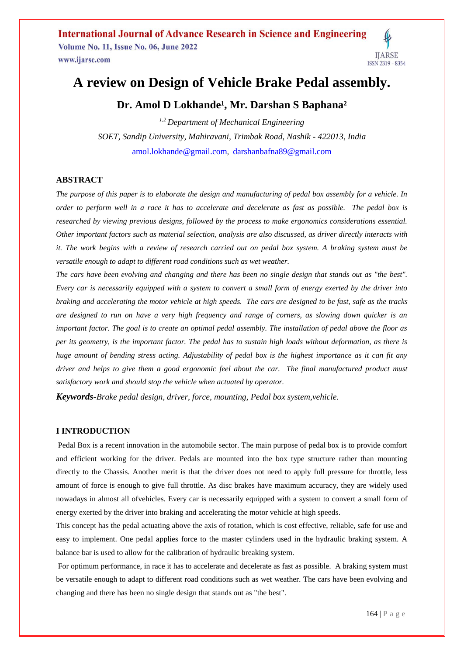**International Journal of Advance Research in Science and Engineering Volume No. 11, Issue No. 06, June 2022** www.ijarse.com

# **IIARSE**

# **A review on Design of Vehicle Brake Pedal assembly.**

## Dr. Amol D Lokhande<sup>1</sup>, Mr. Darshan S Baphana<sup>2</sup>

*1,2 Department of Mechanical Engineering SOET, Sandip University, Mahiravani, Trimbak Road, Nashik - 422013, India* [amol.lokhande@gmail.com](mailto:amol.lokhande@gmail.com), [darshanbafna89@gmail.com](mailto:darshanbafna89@gmail.com)

#### **ABSTRACT**

*The purpose of this paper is to elaborate the design and manufacturing of pedal box assembly for a vehicle. In order to perform well in a race it has to accelerate and decelerate as fast as possible. The pedal box is researched by viewing previous designs, followed by the process to make ergonomics considerations essential. Other important factors such as material selection, analysis are also discussed, as driver directly interacts with it. The work begins with a review of research carried out on pedal box system. A braking system must be versatile enough to adapt to different road conditions such as wet weather.* 

*The cars have been evolving and changing and there has been no single design that stands out as "the best". Every car is necessarily equipped with a system to convert a small form of energy exerted by the driver into braking and accelerating the motor vehicle at high speeds. The cars are designed to be fast, safe as the tracks are designed to run on have a very high frequency and range of corners, as slowing down quicker is an important factor. The goal is to create an optimal pedal assembly. The installation of pedal above the floor as per its geometry, is the important factor. The pedal has to sustain high loads without deformation, as there is huge amount of bending stress acting. Adjustability of pedal box is the highest importance as it can fit any driver and helps to give them a good ergonomic feel about the car. The final manufactured product must satisfactory work and should stop the vehicle when actuated by operator.*

*Keywords-Brake pedal design, driver, force, mounting, Pedal box system,vehicle.*

#### **I INTRODUCTION**

Pedal Box is a recent innovation in the automobile sector. The main purpose of pedal box is to provide comfort and efficient working for the driver. Pedals are mounted into the box type structure rather than mounting directly to the Chassis. Another merit is that the driver does not need to apply full pressure for throttle, less amount of force is enough to give full throttle. As disc brakes have maximum accuracy, they are widely used nowadays in almost all ofvehicles. Every car is necessarily equipped with a system to convert a small form of energy exerted by the driver into braking and accelerating the motor vehicle at high speeds.

This concept has the pedal actuating above the axis of rotation, which is cost effective, reliable, safe for use and easy to implement. One pedal applies force to the master cylinders used in the hydraulic braking system. A balance bar is used to allow for the calibration of hydraulic breaking system.

For optimum performance, in race it has to accelerate and decelerate as fast as possible. A braking system must be versatile enough to adapt to different road conditions such as wet weather. The cars have been evolving and changing and there has been no single design that stands out as "the best".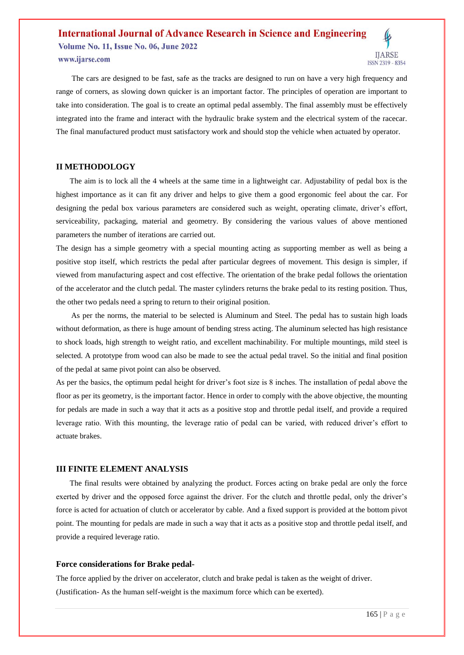# **International Journal of Advance Research in Science and Engineering Volume No. 11, Issue No. 06, June 2022** www.ijarse.com



 The cars are designed to be fast, safe as the tracks are designed to run on have a very high frequency and range of corners, as slowing down quicker is an important factor. The principles of operation are important to take into consideration. The goal is to create an optimal pedal assembly. The final assembly must be effectively integrated into the frame and interact with the hydraulic brake system and the electrical system of the racecar. The final manufactured product must satisfactory work and should stop the vehicle when actuated by operator.

#### **II METHODOLOGY**

 The aim is to lock all the 4 wheels at the same time in a lightweight car. Adjustability of pedal box is the highest importance as it can fit any driver and helps to give them a good ergonomic feel about the car. For designing the pedal box various parameters are considered such as weight, operating climate, driver's effort, serviceability, packaging, material and geometry. By considering the various values of above mentioned parameters the number of iterations are carried out.

The design has a simple geometry with a special mounting acting as supporting member as well as being a positive stop itself, which restricts the pedal after particular degrees of movement. This design is simpler, if viewed from manufacturing aspect and cost effective. The orientation of the brake pedal follows the orientation of the accelerator and the clutch pedal. The master cylinders returns the brake pedal to its resting position. Thus, the other two pedals need a spring to return to their original position.

 As per the norms, the material to be selected is Aluminum and Steel. The pedal has to sustain high loads without deformation, as there is huge amount of bending stress acting. The aluminum selected has high resistance to shock loads, high strength to weight ratio, and excellent machinability. For multiple mountings, mild steel is selected. A prototype from wood can also be made to see the actual pedal travel. So the initial and final position of the pedal at same pivot point can also be observed.

As per the basics, the optimum pedal height for driver's foot size is 8 inches. The installation of pedal above the floor as per its geometry, is the important factor. Hence in order to comply with the above objective, the mounting for pedals are made in such a way that it acts as a positive stop and throttle pedal itself, and provide a required leverage ratio. With this mounting, the leverage ratio of pedal can be varied, with reduced driver's effort to actuate brakes.

#### **III FINITE ELEMENT ANALYSIS**

 The final results were obtained by analyzing the product. Forces acting on brake pedal are only the force exerted by driver and the opposed force against the driver. For the clutch and throttle pedal, only the driver's force is acted for actuation of clutch or accelerator by cable. And a fixed support is provided at the bottom pivot point. The mounting for pedals are made in such a way that it acts as a positive stop and throttle pedal itself, and provide a required leverage ratio.

#### **Force considerations for Brake pedal-**

The force applied by the driver on accelerator, clutch and brake pedal is taken as the weight of driver. (Justification- As the human self-weight is the maximum force which can be exerted).